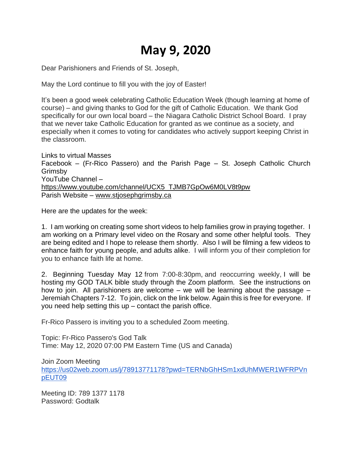## **May 9, 2020**

Dear Parishioners and Friends of St. Joseph,

May the Lord continue to fill you with the joy of Easter!

It's been a good week celebrating Catholic Education Week (though learning at home of course) – and giving thanks to God for the gift of Catholic Education. We thank God specifically for our own local board – the Niagara Catholic District School Board. I pray that we never take Catholic Education for granted as we continue as a society, and especially when it comes to voting for candidates who actively support keeping Christ in the classroom.

Links to virtual Masses Facebook – (Fr-Rico Passero) and the Parish Page – St. Joseph Catholic Church Grimsby YouTube Channel – [https://www.youtube.com/channel/UCX5\\_TJMB7GpOw6M0LV8t9pw](https://www.youtube.com/channel/UCX5_TJMB7GpOw6M0LV8t9pw) Parish Website – [www.stjosephgrimsby.ca](http://www.stjosephgrimsby.ca/)

Here are the updates for the week:

1. I am working on creating some short videos to help families grow in praying together. I am working on a Primary level video on the Rosary and some other helpful tools. They are being edited and I hope to release them shortly. Also I will be filming a few videos to enhance faith for young people, and adults alike. I will inform you of their completion for you to enhance faith life at home.

2. Beginning Tuesday May 12 from 7:00-8:30pm, and reoccurring weekly, I will be hosting my GOD TALK bible study through the Zoom platform. See the instructions on how to join. All parishioners are welcome – we will be learning about the passage – Jeremiah Chapters 7-12. To join, click on the link below. Again this is free for everyone. If you need help setting this up – contact the parish office.

Fr-Rico Passero is inviting you to a scheduled Zoom meeting.

Topic: Fr-Rico Passero's God Talk Time: May 12, 2020 07:00 PM Eastern Time (US and Canada)

Join Zoom Meeting [https://us02web.zoom.us/j/78913771178?pwd=TERNbGhHSm1xdUhMWER1WFRPVn](https://us02web.zoom.us/j/78913771178?pwd=TERNbGhHSm1xdUhMWER1WFRPVnpEUT09) [pEUT09](https://us02web.zoom.us/j/78913771178?pwd=TERNbGhHSm1xdUhMWER1WFRPVnpEUT09)

Meeting ID: 789 1377 1178 Password: Godtalk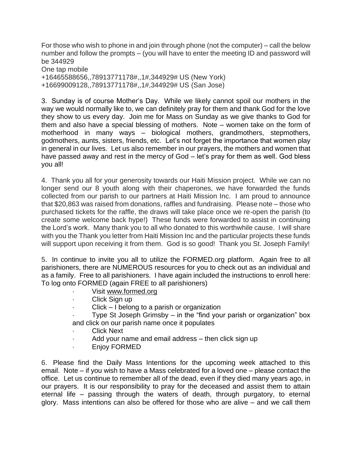For those who wish to phone in and join through phone (not the computer) – call the below number and follow the prompts – (you will have to enter the meeting ID and password will be 344929 One tap mobile +16465588656,,78913771178#,,1#,344929# US (New York)

+16699009128,,78913771178#,,1#,344929# US (San Jose)

3. Sunday is of course Mother's Day. While we likely cannot spoil our mothers in the way we would normally like to, we can definitely pray for them and thank God for the love they show to us every day. Join me for Mass on Sunday as we give thanks to God for them and also have a special blessing of mothers. Note – women take on the form of motherhood in many ways – biological mothers, grandmothers, stepmothers, godmothers, aunts, sisters, friends, etc. Let's not forget the importance that women play in general in our lives. Let us also remember in our prayers, the mothers and women that have passed away and rest in the mercy of God – let's pray for them as well. God bless you all!

4. Thank you all for your generosity towards our Haiti Mission project. While we can no longer send our 8 youth along with their chaperones, we have forwarded the funds collected from our parish to our partners at Haiti Mission Inc. I am proud to announce that \$20,863 was raised from donations, raffles and fundraising. Please note – those who purchased tickets for the raffle, the draws will take place once we re-open the parish (to create some welcome back hype!) These funds were forwarded to assist in continuing the Lord's work. Many thank you to all who donated to this worthwhile cause. I will share with you the Thank you letter from Haiti Mission Inc and the particular projects these funds will support upon receiving it from them. God is so good! Thank you St. Joseph Family!

5. In continue to invite you all to utilize the FORMED.org platform. Again free to all parishioners, there are NUMEROUS resources for you to check out as an individual and as a family. Free to all parishioners. I have again included the instructions to enroll here: To log onto FORMED (again FREE to all parishioners)

- Visit [www.formed.org](http://www.formed.org/)
- Click Sign up
- Click I belong to a parish or organization
- Type St Joseph Grimsby  $-$  in the "find your parish or organization" box and click on our parish name once it populates
- **Click Next**
- Add your name and email address then click sign up
- · Enjoy FORMED

6. Please find the Daily Mass Intentions for the upcoming week attached to this email. Note – if you wish to have a Mass celebrated for a loved one – please contact the office. Let us continue to remember all of the dead, even if they died many years ago, in our prayers. It is our responsibility to pray for the deceased and assist them to attain eternal life – passing through the waters of death, through purgatory, to eternal glory. Mass intentions can also be offered for those who are alive – and we call them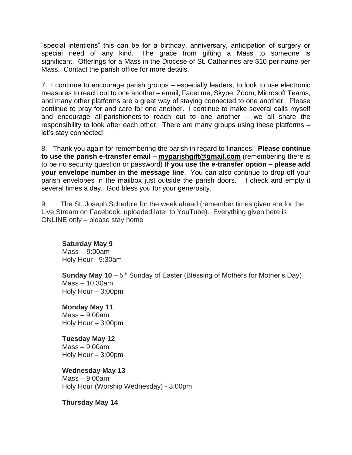"special intentions" this can be for a birthday, anniversary, anticipation of surgery or special need of any kind. The grace from gifting a Mass to someone is significant. Offerings for a Mass in the Diocese of St. Catharines are \$10 per name per Mass. Contact the parish office for more details.

7. I continue to encourage parish groups – especially leaders, to look to use electronic measures to reach out to one another – email, Facetime, Skype, Zoom, Microsoft Teams, and many other platforms are a great way of staying connected to one another. Please continue to pray for and care for one another. I continue to make several calls myself and encourage all parishioners to reach out to one another – we all share the responsibility to look after each other. There are many groups using these platforms – let's stay connected!

8. Thank you again for remembering the parish in regard to finances. **Please continue to use the parish e-transfer email – [myparishgift@gmail.com](mailto:myparishgift@gmail.com)** (remembering there is to be no security question or password) **If you use the e-transfer option – please add your envelope number in the message line**. You can also continue to drop off your parish envelopes in the mailbox just outside the parish doors. I check and empty it several times a day. God bless you for your generosity.

9. The St. Joseph Schedule for the week ahead (remember times given are for the Live Stream on Facebook, uploaded later to YouTube). Everything given here is ONLINE only – please stay home

## **Saturday May 9**

Mass - 9:00am Holy Hour - 9:30am

**Sunday May 10** – 5<sup>th</sup> Sunday of Easter (Blessing of Mothers for Mother's Day) Mass – 10:30am Holy Hour – 3:00pm

**Monday May 11** Mass – 9:00am Holy Hour – 3:00pm

**Tuesday May 12** Mass – 9:00am Holy Hour – 3:00pm

**Wednesday May 13** Mass – 9:00am Holy Hour (Worship Wednesday) - 3:00pm

**Thursday May 14**